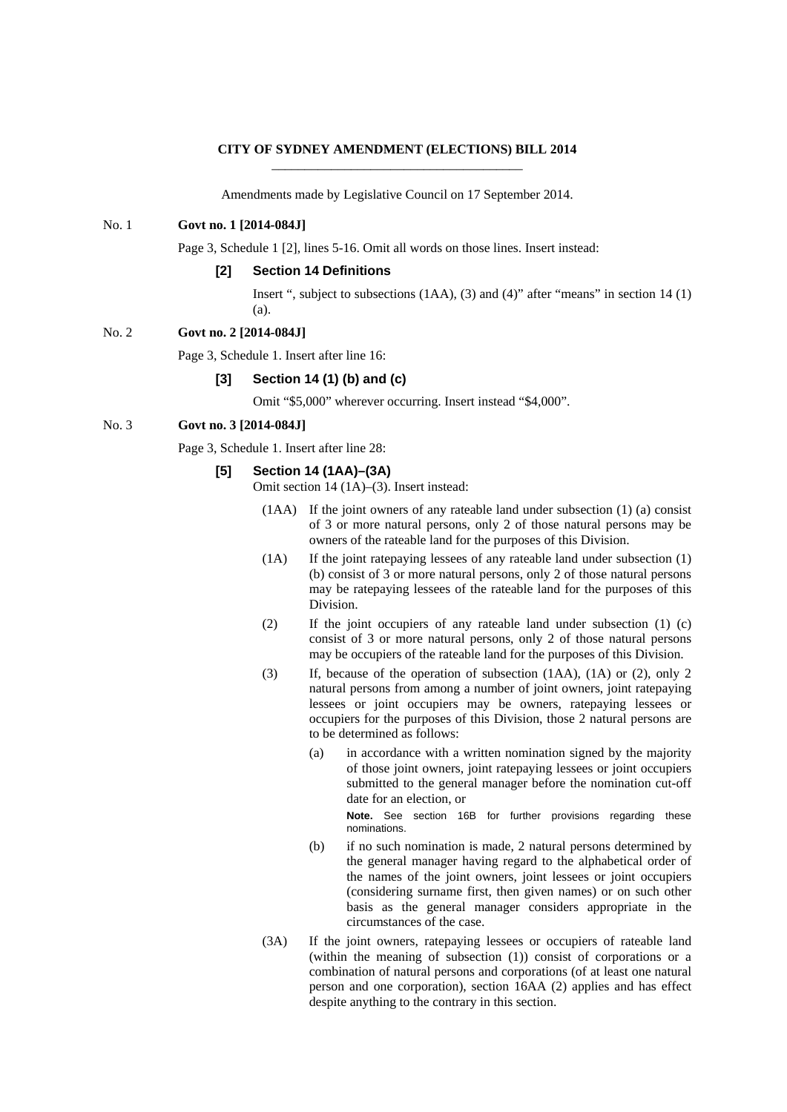#### **CITY OF SYDNEY AMENDMENT (ELECTIONS) BILL 2014**  \_\_\_\_\_\_\_\_\_\_\_\_\_\_\_\_\_\_\_\_\_\_\_\_\_\_\_\_\_\_\_\_\_\_\_\_\_\_

Amendments made by Legislative Council on 17 September 2014.

## No. 1 **Govt no. 1 [2014-084J]**

Page 3, Schedule 1 [2], lines 5-16. Omit all words on those lines. Insert instead:

#### **[2] Section 14 Definitions**

Insert ", subject to subsections (1AA), (3) and (4)" after "means" in section 14 (1) (a).

## No. 2 **Govt no. 2 [2014-084J]**

Page 3, Schedule 1. Insert after line 16:

# **[3] Section 14 (1) (b) and (c)**

Omit "\$5,000" wherever occurring. Insert instead "\$4,000".

# No. 3 **Govt no. 3 [2014-084J]**

Page 3, Schedule 1. Insert after line 28:

# **[5] Section 14 (1AA)–(3A)**

Omit section 14 (1A)–(3). Insert instead:

- (1AA) If the joint owners of any rateable land under subsection (1) (a) consist of 3 or more natural persons, only 2 of those natural persons may be owners of the rateable land for the purposes of this Division.
- (1A) If the joint ratepaying lessees of any rateable land under subsection (1) (b) consist of 3 or more natural persons, only 2 of those natural persons may be ratepaying lessees of the rateable land for the purposes of this Division.
- (2) If the joint occupiers of any rateable land under subsection (1) (c) consist of 3 or more natural persons, only 2 of those natural persons may be occupiers of the rateable land for the purposes of this Division.
- (3) If, because of the operation of subsection (1AA), (1A) or (2), only 2 natural persons from among a number of joint owners, joint ratepaying lessees or joint occupiers may be owners, ratepaying lessees or occupiers for the purposes of this Division, those 2 natural persons are to be determined as follows:
	- (a) in accordance with a written nomination signed by the majority of those joint owners, joint ratepaying lessees or joint occupiers submitted to the general manager before the nomination cut-off date for an election, or

**Note.** See section 16B for further provisions regarding these nominations.

- (b) if no such nomination is made, 2 natural persons determined by the general manager having regard to the alphabetical order of the names of the joint owners, joint lessees or joint occupiers (considering surname first, then given names) or on such other basis as the general manager considers appropriate in the circumstances of the case.
- (3A) If the joint owners, ratepaying lessees or occupiers of rateable land (within the meaning of subsection (1)) consist of corporations or a combination of natural persons and corporations (of at least one natural person and one corporation), section 16AA (2) applies and has effect despite anything to the contrary in this section.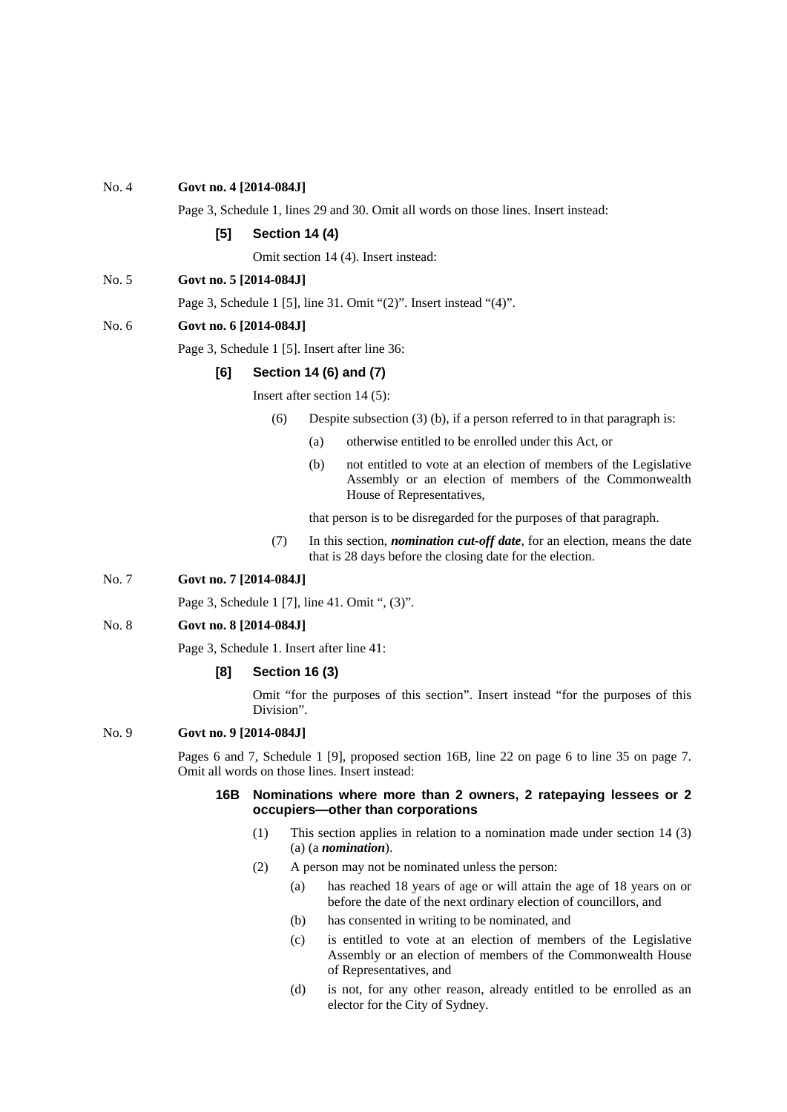# No. 4 **Govt no. 4 [2014-084J]**

Page 3, Schedule 1, lines 29 and 30. Omit all words on those lines. Insert instead:

#### **[5] Section 14 (4)**

Omit section 14 (4). Insert instead:

No. 5 **Govt no. 5 [2014-084J]**

Page 3, Schedule 1 [5], line 31. Omit "(2)". Insert instead "(4)".

#### No. 6 **Govt no. 6 [2014-084J]**

Page 3, Schedule 1 [5]. Insert after line 36:

# **[6] Section 14 (6) and (7)**

Insert after section 14 (5):

- (6) Despite subsection (3) (b), if a person referred to in that paragraph is:
	- (a) otherwise entitled to be enrolled under this Act, or
	- (b) not entitled to vote at an election of members of the Legislative Assembly or an election of members of the Commonwealth House of Representatives,

that person is to be disregarded for the purposes of that paragraph.

(7) In this section, *nomination cut-off date*, for an election, means the date that is 28 days before the closing date for the election.

# No. 7 **Govt no. 7 [2014-084J]**

Page 3, Schedule 1 [7], line 41. Omit ", (3)".

#### No. 8 **Govt no. 8 [2014-084J]**

Page 3, Schedule 1. Insert after line 41:

# **[8] Section 16 (3)**

Omit "for the purposes of this section". Insert instead "for the purposes of this Division".

#### No. 9 **Govt no. 9 [2014-084J]**

Pages 6 and 7, Schedule 1 [9], proposed section 16B, line 22 on page 6 to line 35 on page 7. Omit all words on those lines. Insert instead:

## **16B Nominations where more than 2 owners, 2 ratepaying lessees or 2 occupiers—other than corporations**

- (1) This section applies in relation to a nomination made under section 14 (3) (a) (a *nomination*).
- (2) A person may not be nominated unless the person:
	- (a) has reached 18 years of age or will attain the age of 18 years on or before the date of the next ordinary election of councillors, and
	- (b) has consented in writing to be nominated, and
	- (c) is entitled to vote at an election of members of the Legislative Assembly or an election of members of the Commonwealth House of Representatives, and
	- (d) is not, for any other reason, already entitled to be enrolled as an elector for the City of Sydney.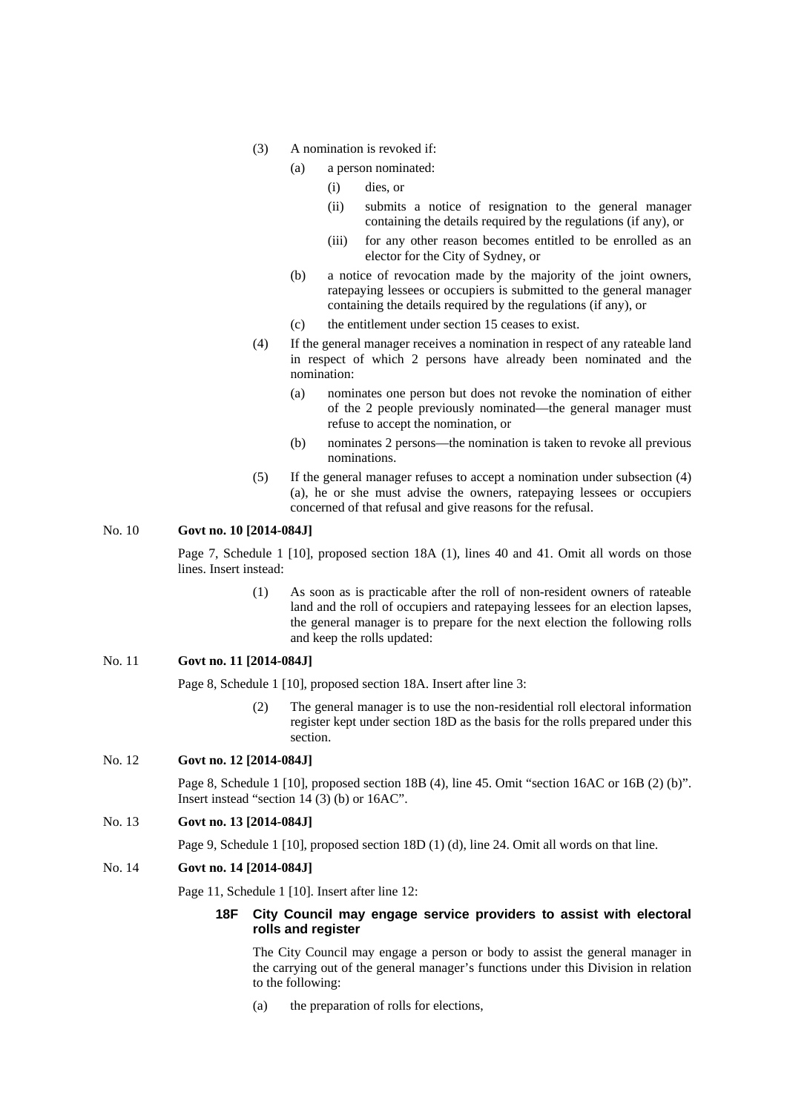- (3) A nomination is revoked if:
	- (a) a person nominated:
		- (i) dies, or
		- (ii) submits a notice of resignation to the general manager containing the details required by the regulations (if any), or
		- (iii) for any other reason becomes entitled to be enrolled as an elector for the City of Sydney, or
	- (b) a notice of revocation made by the majority of the joint owners, ratepaying lessees or occupiers is submitted to the general manager containing the details required by the regulations (if any), or
	- (c) the entitlement under section 15 ceases to exist.
- (4) If the general manager receives a nomination in respect of any rateable land in respect of which 2 persons have already been nominated and the nomination:
	- (a) nominates one person but does not revoke the nomination of either of the 2 people previously nominated—the general manager must refuse to accept the nomination, or
	- (b) nominates 2 persons—the nomination is taken to revoke all previous nominations.
- (5) If the general manager refuses to accept a nomination under subsection (4) (a), he or she must advise the owners, ratepaying lessees or occupiers concerned of that refusal and give reasons for the refusal.

## No. 10 **Govt no. 10 [2014-084J]**

 Page 7, Schedule 1 [10], proposed section 18A (1), lines 40 and 41. Omit all words on those lines. Insert instead:

> (1) As soon as is practicable after the roll of non-resident owners of rateable land and the roll of occupiers and ratepaying lessees for an election lapses, the general manager is to prepare for the next election the following rolls and keep the rolls updated:

## No. 11 **Govt no. 11 [2014-084J]**

Page 8, Schedule 1 [10], proposed section 18A. Insert after line 3:

(2) The general manager is to use the non-residential roll electoral information register kept under section 18D as the basis for the rolls prepared under this section.

# No. 12 **Govt no. 12 [2014-084J]**

Page 8, Schedule 1 [10], proposed section 18B (4), line 45. Omit "section 16AC or 16B (2) (b)". Insert instead "section 14 (3) (b) or 16AC".

# No. 13 **Govt no. 13 [2014-084J]**

Page 9, Schedule 1 [10], proposed section 18D (1) (d), line 24. Omit all words on that line.

#### No. 14 **Govt no. 14 [2014-084J]**

Page 11, Schedule 1 [10]. Insert after line 12:

#### **18F City Council may engage service providers to assist with electoral rolls and register**

The City Council may engage a person or body to assist the general manager in the carrying out of the general manager's functions under this Division in relation to the following:

(a) the preparation of rolls for elections,